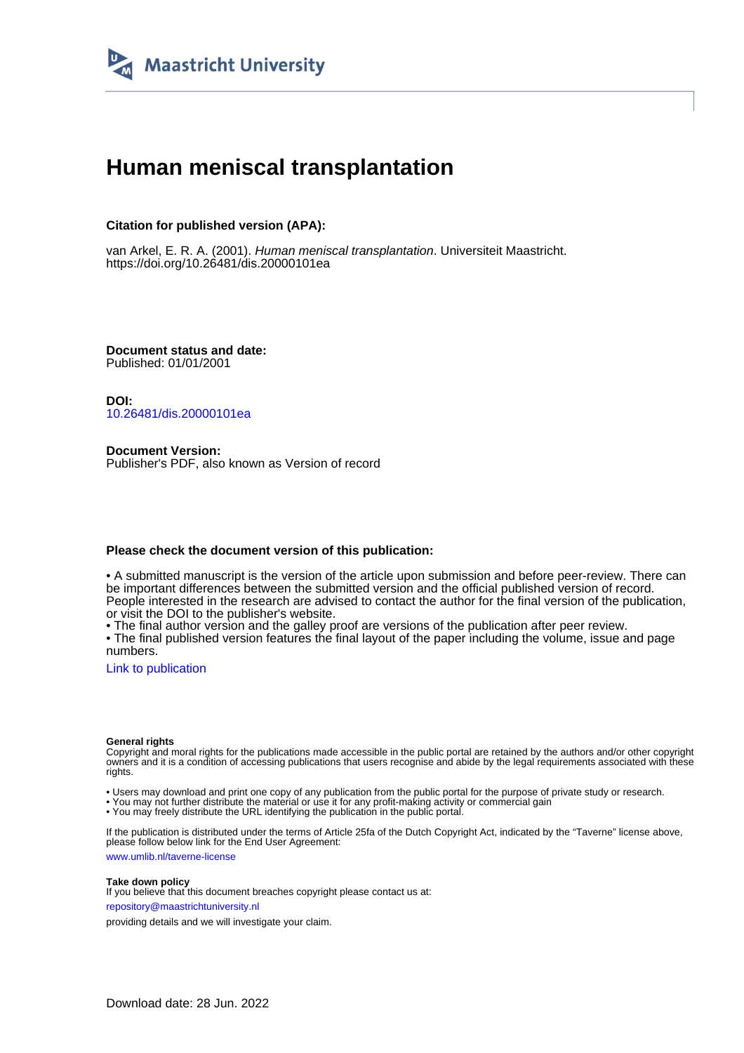

# **Human meniscal transplantation**

### **Citation for published version (APA):**

van Arkel, E. R. A. (2001). Human meniscal transplantation. Universiteit Maastricht. <https://doi.org/10.26481/dis.20000101ea>

**Document status and date:** Published: 01/01/2001

**DOI:** [10.26481/dis.20000101ea](https://doi.org/10.26481/dis.20000101ea)

**Document Version:** Publisher's PDF, also known as Version of record

#### **Please check the document version of this publication:**

• A submitted manuscript is the version of the article upon submission and before peer-review. There can be important differences between the submitted version and the official published version of record. People interested in the research are advised to contact the author for the final version of the publication, or visit the DOI to the publisher's website.

• The final author version and the galley proof are versions of the publication after peer review.

• The final published version features the final layout of the paper including the volume, issue and page numbers.

[Link to publication](https://cris.maastrichtuniversity.nl/en/publications/d9cbdd39-4b2c-49b0-813a-edb518b64f7d)

#### **General rights**

Copyright and moral rights for the publications made accessible in the public portal are retained by the authors and/or other copyright owners and it is a condition of accessing publications that users recognise and abide by the legal requirements associated with these rights.

• Users may download and print one copy of any publication from the public portal for the purpose of private study or research.

• You may not further distribute the material or use it for any profit-making activity or commercial gain

• You may freely distribute the URL identifying the publication in the public portal.

If the publication is distributed under the terms of Article 25fa of the Dutch Copyright Act, indicated by the "Taverne" license above, please follow below link for the End User Agreement:

www.umlib.nl/taverne-license

#### **Take down policy**

If you believe that this document breaches copyright please contact us at: repository@maastrichtuniversity.nl

providing details and we will investigate your claim.